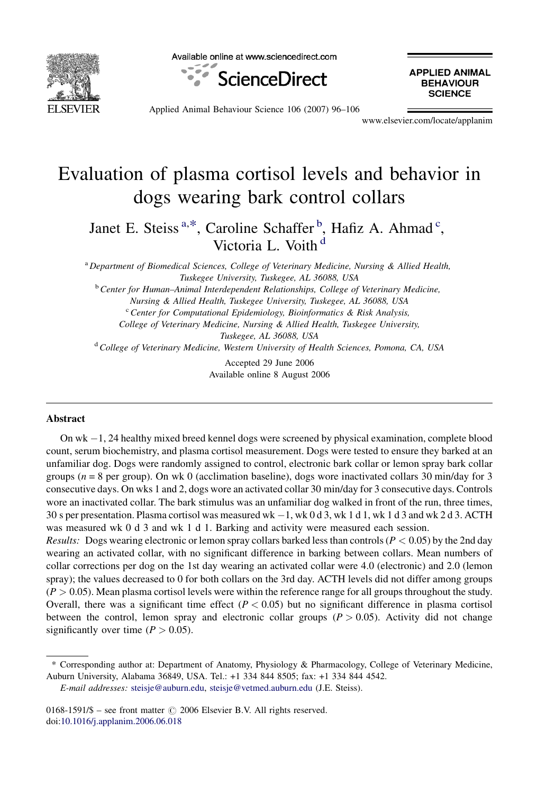

Available online at www.sciencedirect.com



**APPLIED ANIMAL BEHAVIOUR SCIENCE** 

Applied Animal Behaviour Science 106 (2007) 96–106

www.elsevier.com/locate/applanim

# Evaluation of plasma cortisol levels and behavior in dogs wearing bark control collars

Janet E. Steiss<sup>a,\*</sup>, Caroline Schaffer<sup>b</sup>, Hafiz A. Ahmad<sup>c</sup>, Victoria L. Voith<sup>d</sup>

<sup>a</sup> Department of Biomedical Sciences, College of Veterinary Medicine, Nursing & Allied Health, Tuskegee University, Tuskegee, AL 36088, USA

<sup>b</sup> Center for Human-Animal Interdependent Relationships, College of Veterinary Medicine,

Nursing & Allied Health, Tuskegee University, Tuskegee, AL 36088, USA

 $c^c$  Center for Computational Epidemiology, Bioinformatics & Risk Analysis,

College of Veterinary Medicine, Nursing & Allied Health, Tuskegee University,

Tuskegee, AL 36088, USA

 $d$  College of Veterinary Medicine, Western University of Health Sciences, Pomona, CA, USA

Accepted 29 June 2006 Available online 8 August 2006

## Abstract

On wk -1, 24 healthy mixed breed kennel dogs were screened by physical examination, complete blood count, serum biochemistry, and plasma cortisol measurement. Dogs were tested to ensure they barked at an unfamiliar dog. Dogs were randomly assigned to control, electronic bark collar or lemon spray bark collar groups ( $n = 8$  per group). On wk 0 (acclimation baseline), dogs wore inactivated collars 30 min/day for 3 consecutive days. On wks 1 and 2, dogs wore an activated collar 30 min/day for 3 consecutive days. Controls wore an inactivated collar. The bark stimulus was an unfamiliar dog walked in front of the run, three times, 30 s per presentation. Plasma cortisol was measured wk -1, wk 0 d 3, wk 1 d 1, wk 1 d 3 and wk 2 d 3. ACTH was measured wk 0 d 3 and wk 1 d 1. Barking and activity were measured each session.

Results: Dogs wearing electronic or lemon spray collars barked less than controls ( $P < 0.05$ ) by the 2nd day wearing an activated collar, with no significant difference in barking between collars. Mean numbers of collar corrections per dog on the 1st day wearing an activated collar were 4.0 (electronic) and 2.0 (lemon spray); the values decreased to 0 for both collars on the 3rd day. ACTH levels did not differ among groups  $(P > 0.05)$ . Mean plasma cortisol levels were within the reference range for all groups throughout the study. Overall, there was a significant time effect  $(P < 0.05)$  but no significant difference in plasma cortisol between the control, lemon spray and electronic collar groups  $(P > 0.05)$ . Activity did not change significantly over time  $(P > 0.05)$ .

E-mail addresses: [steisje@auburn.edu](mailto:steisje@auburn.edu), [steisje@vetmed.auburn.edu](mailto:steisje@vetmed.auburn.edu) (J.E. Steiss).

0168-1591/\$ – see front matter  $\odot$  2006 Elsevier B.V. All rights reserved. doi[:10.1016/j.applanim.2006.06.018](http://dx.doi.org/10.1016/j.applanim.2006.06.018)

<sup>\*</sup> Corresponding author at: Department of Anatomy, Physiology & Pharmacology, College of Veterinary Medicine, Auburn University, Alabama 36849, USA. Tel.: +1 334 844 8505; fax: +1 334 844 4542.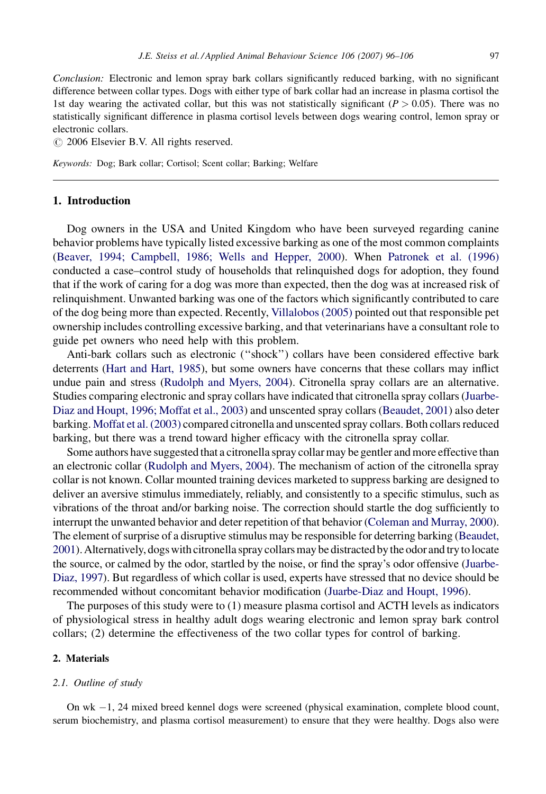Conclusion: Electronic and lemon spray bark collars significantly reduced barking, with no significant difference between collar types. Dogs with either type of bark collar had an increase in plasma cortisol the 1st day wearing the activated collar, but this was not statistically significant ( $P > 0.05$ ). There was no statistically significant difference in plasma cortisol levels between dogs wearing control, lemon spray or electronic collars.

 $\odot$  2006 Elsevier B.V. All rights reserved.

Keywords: Dog; Bark collar; Cortisol; Scent collar; Barking; Welfare

# 1. Introduction

Dog owners in the USA and United Kingdom who have been surveyed regarding canine behavior problems have typically listed excessive barking as one of the most common complaints ([Beaver, 1994; Campbell, 1986; Wells and Hepper, 2000](#page-9-0)). When [Patronek et al. \(1996\)](#page-10-0) conducted a case–control study of households that relinquished dogs for adoption, they found that if the work of caring for a dog was more than expected, then the dog was at increased risk of relinquishment. Unwanted barking was one of the factors which significantly contributed to care of the dog being more than expected. Recently, [Villalobos \(2005\)](#page-10-0) pointed out that responsible pet ownership includes controlling excessive barking, and that veterinarians have a consultant role to guide pet owners who need help with this problem.

Anti-bark collars such as electronic (''shock'') collars have been considered effective bark deterrents ([Hart and Hart, 1985](#page-10-0)), but some owners have concerns that these collars may inflict undue pain and stress ([Rudolph and Myers, 2004](#page-10-0)). Citronella spray collars are an alternative. Studies comparing electronic and spray collars have indicated that citronella spray collars ([Juarbe-](#page-10-0)[Diaz and Houpt, 1996; Moffat et al., 2003](#page-10-0)) and unscented spray collars ([Beaudet, 2001\)](#page-9-0) also deter barking. [Moffat et al. \(2003\)](#page-10-0) compared citronella and unscented spray collars. Both collars reduced barking, but there was a trend toward higher efficacy with the citronella spray collar.

Some authors have suggested that a citronella spray collar may be gentler and more effective than an electronic collar [\(Rudolph and Myers, 2004](#page-10-0)). The mechanism of action of the citronella spray collar is not known. Collar mounted training devices marketed to suppress barking are designed to deliver an aversive stimulus immediately, reliably, and consistently to a specific stimulus, such as vibrations of the throat and/or barking noise. The correction should startle the dog sufficiently to interrupt the unwanted behavior and deter repetition of that behavior ([Coleman and Murray, 2000](#page-9-0)). The element of surprise of a disruptive stimulus may be responsible for deterring barking [\(Beaudet,](#page-9-0) [2001\)](#page-9-0). Alternatively, dogs with citronella spray collars may be distracted bythe odor and trytolocate the source, or calmed by the odor, startled by the noise, or find the spray's odor offensive [\(Juarbe-](#page-10-0)[Diaz, 1997](#page-10-0)). But regardless of which collar is used, experts have stressed that no device should be recommended without concomitant behavior modification [\(Juarbe-Diaz and Houpt, 1996\)](#page-10-0).

The purposes of this study were to (1) measure plasma cortisol and ACTH levels as indicators of physiological stress in healthy adult dogs wearing electronic and lemon spray bark control collars; (2) determine the effectiveness of the two collar types for control of barking.

#### 2. Materials

## 2.1. Outline of study

On wk -1, 24 mixed breed kennel dogs were screened (physical examination, complete blood count, serum biochemistry, and plasma cortisol measurement) to ensure that they were healthy. Dogs also were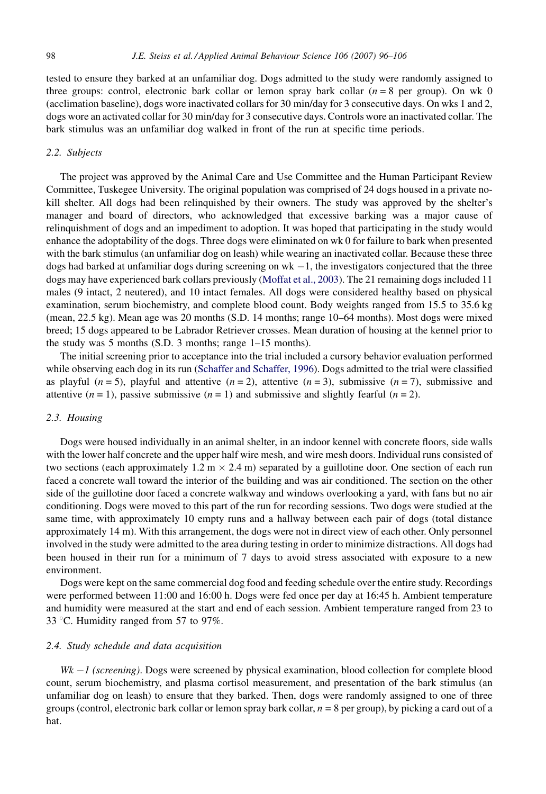tested to ensure they barked at an unfamiliar dog. Dogs admitted to the study were randomly assigned to three groups: control, electronic bark collar or lemon spray bark collar  $(n = 8$  per group). On wk 0 (acclimation baseline), dogs wore inactivated collars for 30 min/day for 3 consecutive days. On wks 1 and 2, dogs wore an activated collar for 30 min/day for 3 consecutive days. Controls wore an inactivated collar. The bark stimulus was an unfamiliar dog walked in front of the run at specific time periods.

## 2.2. Subjects

The project was approved by the Animal Care and Use Committee and the Human Participant Review Committee, Tuskegee University. The original population was comprised of 24 dogs housed in a private nokill shelter. All dogs had been relinquished by their owners. The study was approved by the shelter's manager and board of directors, who acknowledged that excessive barking was a major cause of relinquishment of dogs and an impediment to adoption. It was hoped that participating in the study would enhance the adoptability of the dogs. Three dogs were eliminated on wk 0 for failure to bark when presented with the bark stimulus (an unfamiliar dog on leash) while wearing an inactivated collar. Because these three dogs had barked at unfamiliar dogs during screening on  $wk - 1$ , the investigators conjectured that the three dogs may have experienced bark collars previously ([Moffat et al., 2003](#page-10-0)). The 21 remaining dogs included 11 males (9 intact, 2 neutered), and 10 intact females. All dogs were considered healthy based on physical examination, serum biochemistry, and complete blood count. Body weights ranged from 15.5 to 35.6 kg (mean, 22.5 kg). Mean age was 20 months (S.D. 14 months; range 10–64 months). Most dogs were mixed breed; 15 dogs appeared to be Labrador Retriever crosses. Mean duration of housing at the kennel prior to the study was 5 months (S.D. 3 months; range 1–15 months).

The initial screening prior to acceptance into the trial included a cursory behavior evaluation performed while observing each dog in its run ([Schaffer and Schaffer, 1996](#page-10-0)). Dogs admitted to the trial were classified as playful (n = 5), playful and attentive (n = 2), attentive (n = 3), submissive (n = 7), submissive and attentive  $(n = 1)$ , passive submissive  $(n = 1)$  and submissive and slightly fearful  $(n = 2)$ .

## 2.3. Housing

Dogs were housed individually in an animal shelter, in an indoor kennel with concrete floors, side walls with the lower half concrete and the upper half wire mesh, and wire mesh doors. Individual runs consisted of two sections (each approximately 1.2 m  $\times$  2.4 m) separated by a guillotine door. One section of each run faced a concrete wall toward the interior of the building and was air conditioned. The section on the other side of the guillotine door faced a concrete walkway and windows overlooking a yard, with fans but no air conditioning. Dogs were moved to this part of the run for recording sessions. Two dogs were studied at the same time, with approximately 10 empty runs and a hallway between each pair of dogs (total distance approximately 14 m). With this arrangement, the dogs were not in direct view of each other. Only personnel involved in the study were admitted to the area during testing in order to minimize distractions. All dogs had been housed in their run for a minimum of 7 days to avoid stress associated with exposure to a new environment.

Dogs were kept on the same commercial dog food and feeding schedule over the entire study. Recordings were performed between 11:00 and 16:00 h. Dogs were fed once per day at 16:45 h. Ambient temperature and humidity were measured at the start and end of each session. Ambient temperature ranged from 23 to 33 °C. Humidity ranged from 57 to 97%.

## 2.4. Study schedule and data acquisition

 $Wk - 1$  (screening). Dogs were screened by physical examination, blood collection for complete blood count, serum biochemistry, and plasma cortisol measurement, and presentation of the bark stimulus (an unfamiliar dog on leash) to ensure that they barked. Then, dogs were randomly assigned to one of three groups (control, electronic bark collar or lemon spray bark collar,  $n = 8$  per group), by picking a card out of a hat.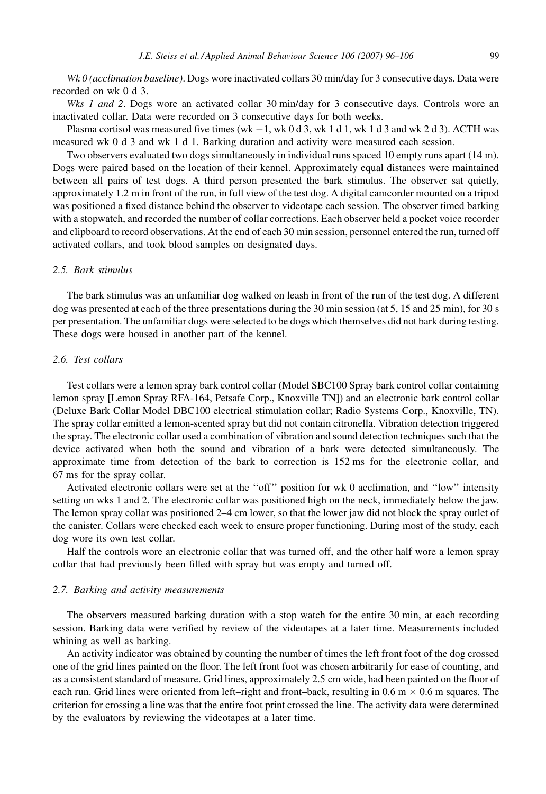Wk 0 (acclimation baseline). Dogs wore inactivated collars 30 min/day for 3 consecutive days. Data were recorded on wk 0 d 3.

Wks 1 and 2. Dogs wore an activated collar 30 min/day for 3 consecutive days. Controls wore an inactivated collar. Data were recorded on 3 consecutive days for both weeks.

Plasma cortisol was measured five times (wk  $-1$ , wk 0 d 3, wk 1 d 1, wk 1 d 3 and wk 2 d 3). ACTH was measured wk 0 d 3 and wk 1 d 1. Barking duration and activity were measured each session.

Two observers evaluated two dogs simultaneously in individual runs spaced 10 empty runs apart (14 m). Dogs were paired based on the location of their kennel. Approximately equal distances were maintained between all pairs of test dogs. A third person presented the bark stimulus. The observer sat quietly, approximately 1.2 m in front of the run, in full view of the test dog. A digital camcorder mounted on a tripod was positioned a fixed distance behind the observer to videotape each session. The observer timed barking with a stopwatch, and recorded the number of collar corrections. Each observer held a pocket voice recorder and clipboard to record observations. At the end of each 30 min session, personnel entered the run, turned off activated collars, and took blood samples on designated days.

## 2.5. Bark stimulus

The bark stimulus was an unfamiliar dog walked on leash in front of the run of the test dog. A different dog was presented at each of the three presentations during the 30 min session (at 5, 15 and 25 min), for 30 s per presentation. The unfamiliar dogs were selected to be dogs which themselves did not bark during testing. These dogs were housed in another part of the kennel.

# 2.6. Test collars

Test collars were a lemon spray bark control collar (Model SBC100 Spray bark control collar containing lemon spray [Lemon Spray RFA-164, Petsafe Corp., Knoxville TN]) and an electronic bark control collar (Deluxe Bark Collar Model DBC100 electrical stimulation collar; Radio Systems Corp., Knoxville, TN). The spray collar emitted a lemon-scented spray but did not contain citronella. Vibration detection triggered the spray. The electronic collar used a combination of vibration and sound detection techniques such that the device activated when both the sound and vibration of a bark were detected simultaneously. The approximate time from detection of the bark to correction is 152 ms for the electronic collar, and 67 ms for the spray collar.

Activated electronic collars were set at the ''off'' position for wk 0 acclimation, and ''low'' intensity setting on wks 1 and 2. The electronic collar was positioned high on the neck, immediately below the jaw. The lemon spray collar was positioned 2–4 cm lower, so that the lower jaw did not block the spray outlet of the canister. Collars were checked each week to ensure proper functioning. During most of the study, each dog wore its own test collar.

Half the controls wore an electronic collar that was turned off, and the other half wore a lemon spray collar that had previously been filled with spray but was empty and turned off.

#### 2.7. Barking and activity measurements

The observers measured barking duration with a stop watch for the entire 30 min, at each recording session. Barking data were verified by review of the videotapes at a later time. Measurements included whining as well as barking.

An activity indicator was obtained by counting the number of times the left front foot of the dog crossed one of the grid lines painted on the floor. The left front foot was chosen arbitrarily for ease of counting, and as a consistent standard of measure. Grid lines, approximately 2.5 cm wide, had been painted on the floor of each run. Grid lines were oriented from left–right and front–back, resulting in  $0.6$  m  $\times$  0.6 m squares. The criterion for crossing a line was that the entire foot print crossed the line. The activity data were determined by the evaluators by reviewing the videotapes at a later time.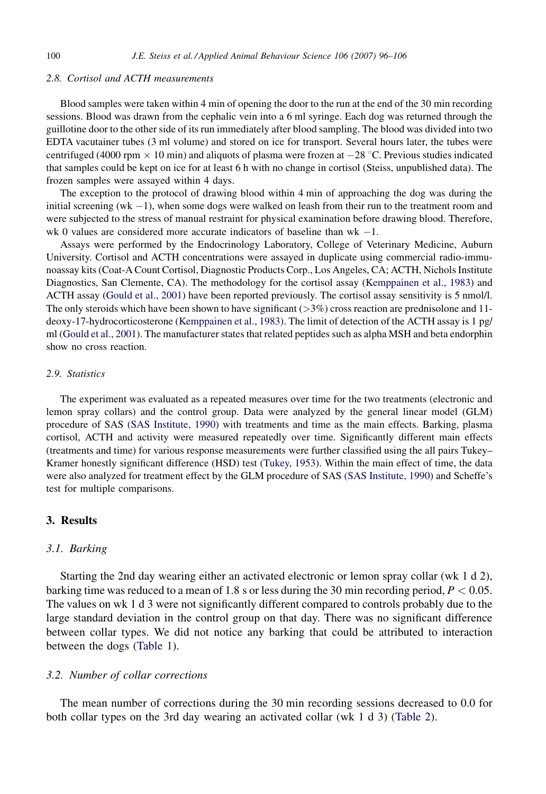# 2.8. Cortisol and ACTH measurements

Blood samples were taken within 4 min of opening the door to the run at the end of the 30 min recording sessions. Blood was drawn from the cephalic vein into a 6 ml syringe. Each dog was returned through the guillotine door to the other side of its run immediately after blood sampling. The blood was divided into two EDTA vacutainer tubes (3 ml volume) and stored on ice for transport. Several hours later, the tubes were centrifuged (4000 rpm  $\times$  10 min) and aliquots of plasma were frozen at  $-28$  °C. Previous studies indicated that samples could be kept on ice for at least 6 h with no change in cortisol (Steiss, unpublished data). The frozen samples were assayed within 4 days.

The exception to the protocol of drawing blood within 4 min of approaching the dog was during the initial screening  $(wk - 1)$ , when some dogs were walked on leash from their run to the treatment room and were subjected to the stress of manual restraint for physical examination before drawing blood. Therefore, wk 0 values are considered more accurate indicators of baseline than  $wk - 1$ .

Assays were performed by the Endocrinology Laboratory, College of Veterinary Medicine, Auburn University. Cortisol and ACTH concentrations were assayed in duplicate using commercial radio-immunoassay kits (Coat-A Count Cortisol, Diagnostic Products Corp., Los Angeles, CA; ACTH, Nichols Institute Diagnostics, San Clemente, CA). The methodology for the cortisol assay [\(Kemppainen et al., 1983](#page-10-0)) and ACTH assay [\(Gould et al., 2001](#page-9-0)) have been reported previously. The cortisol assay sensitivity is 5 nmol/l. The only steroids which have been shown to have significant  $(>3\%)$  cross reaction are prednisolone and 11deoxy-17-hydrocorticosterone [\(Kemppainen et al., 1983](#page-10-0)). The limit of detection of the ACTH assay is 1 pg/ ml ([Gould et al., 2001](#page-9-0)). The manufacturer states that related peptides such as alpha MSH and beta endorphin show no cross reaction.

## 2.9. Statistics

The experiment was evaluated as a repeated measures over time for the two treatments (electronic and lemon spray collars) and the control group. Data were analyzed by the general linear model (GLM) procedure of SAS [\(SAS Institute, 1990\)](#page-10-0) with treatments and time as the main effects. Barking, plasma cortisol, ACTH and activity were measured repeatedly over time. Significantly different main effects (treatments and time) for various response measurements were further classified using the all pairs Tukey– Kramer honestly significant difference (HSD) test ([Tukey, 1953\)](#page-10-0). Within the main effect of time, the data were also analyzed for treatment effect by the GLM procedure of SAS [\(SAS Institute, 1990\)](#page-10-0) and Scheffe's test for multiple comparisons.

# 3. Results

## 3.1. Barking

Starting the 2nd day wearing either an activated electronic or lemon spray collar (wk 1 d 2), barking time was reduced to a mean of 1.8 s or less during the 30 min recording period,  $P < 0.05$ . The values on wk 1 d 3 were not significantly different compared to controls probably due to the large standard deviation in the control group on that day. There was no significant difference between collar types. We did not notice any barking that could be attributed to interaction between the dogs [\(Table 1\)](#page-5-0).

# 3.2. Number of collar corrections

The mean number of corrections during the 30 min recording sessions decreased to 0.0 for both collar types on the 3rd day wearing an activated collar (wk 1 d 3) ([Table 2](#page-6-0)).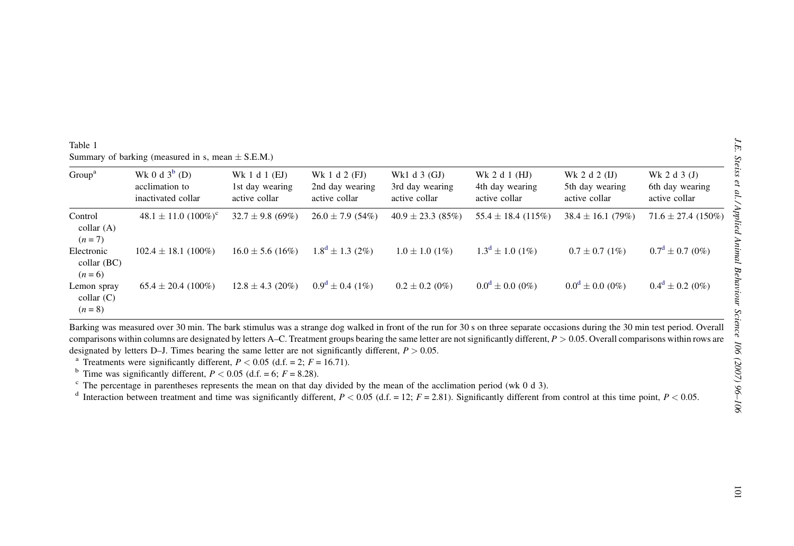| ⟩                   |                                                                       |
|---------------------|-----------------------------------------------------------------------|
|                     |                                                                       |
|                     | J.E. Steiss et al./Applied Animal Behaviour Science 106 (2007) 96–106 |
| $\overline{1}$<br>g |                                                                       |
|                     |                                                                       |
|                     |                                                                       |
|                     |                                                                       |
|                     |                                                                       |

<span id="page-5-0"></span>

| Group <sup>a</sup>                       | Wk 0 d $3^b$ (D)<br>acclimation to<br>inactivated collar                                                                                                                                                                                                                                                                                                                                                                                                                                                                                                                                                                                                                                                                                                                                                                                                                                                                                                                                               | Wk 1 d 1 (EJ)<br>1st day wearing<br>active collar | Wk 1 d 2 (FJ)<br>2nd day wearing<br>active collar | Wk1 d 3 (GJ)<br>3rd day wearing<br>active collar | Wk 2 d 1 (HJ)<br>4th day wearing<br>active collar | Wk 2 d 2 (IJ)<br>5th day wearing<br>active collar | Wk 2 d 3 (J)<br>6th day wearing<br>active collar |
|------------------------------------------|--------------------------------------------------------------------------------------------------------------------------------------------------------------------------------------------------------------------------------------------------------------------------------------------------------------------------------------------------------------------------------------------------------------------------------------------------------------------------------------------------------------------------------------------------------------------------------------------------------------------------------------------------------------------------------------------------------------------------------------------------------------------------------------------------------------------------------------------------------------------------------------------------------------------------------------------------------------------------------------------------------|---------------------------------------------------|---------------------------------------------------|--------------------------------------------------|---------------------------------------------------|---------------------------------------------------|--------------------------------------------------|
| Control<br>$\text{collar}(A)$<br>$(n=7)$ | $48.1 \pm 11.0 \ (100\%)^{\circ}$                                                                                                                                                                                                                                                                                                                                                                                                                                                                                                                                                                                                                                                                                                                                                                                                                                                                                                                                                                      | $32.7 \pm 9.8$ (69%)                              | $26.0 \pm 7.9$ (54%)                              | $40.9 \pm 23.3$ (85%)                            | $55.4 \pm 18.4$ (115%)                            | $38.4 \pm 16.1$ (79%)                             | $71.6 \pm 27.4$ (150%)                           |
| Electronic<br>collar (BC)<br>$(n = 6)$   | $102.4 \pm 18.1$ (100%)                                                                                                                                                                                                                                                                                                                                                                                                                                                                                                                                                                                                                                                                                                                                                                                                                                                                                                                                                                                | $16.0 \pm 5.6$ (16%)                              | $1.8^d \pm 1.3$ (2%)                              | $1.0 \pm 1.0$ (1%)                               | $1.3^d \pm 1.0$ (1%)                              | $0.7 \pm 0.7$ (1%)                                | $0.7^d \pm 0.7$ (0%)                             |
| Lemon spray<br>collar(C)<br>$(n = 8)$    | $65.4 \pm 20.4$ (100%)                                                                                                                                                                                                                                                                                                                                                                                                                                                                                                                                                                                                                                                                                                                                                                                                                                                                                                                                                                                 | $12.8 \pm 4.3$ (20%)                              | $0.9^d \pm 0.4$ (1%)                              | $0.2 \pm 0.2$ (0%)                               | $0.0^d \pm 0.0$ (0%)                              | $0.0^d \pm 0.0$ (0%)                              | $0.4^d \pm 0.2$ (0%)                             |
|                                          | Barking was measured over 30 min. The bark stimulus was a strange dog walked in front of the run for 30 s on three separate occasions during the 30 min test period. Overall<br>comparisons within columns are designated by letters A-C. Treatment groups bearing the same letter are not significantly different, $P > 0.05$ . Overall comparisons within rows are<br>designated by letters D-J. Times bearing the same letter are not significantly different, $P > 0.05$ .<br><sup>a</sup> Treatments were significantly different, $P < 0.05$ (d.f. = 2; $F = 16.71$ ).<br><sup>b</sup> Time was significantly different, $P < 0.05$ (d.f. = 6; $F = 8.28$ ).<br>$\degree$ The percentage in parentheses represents the mean on that day divided by the mean of the acclimation period (wk 0 d 3).<br><sup>d</sup> Interaction between treatment and time was significantly different, $P < 0.05$ (d.f. = 12; $F = 2.81$ ). Significantly different from control at this time point, $P < 0.05$ . |                                                   |                                                   |                                                  |                                                   |                                                   |                                                  |
|                                          |                                                                                                                                                                                                                                                                                                                                                                                                                                                                                                                                                                                                                                                                                                                                                                                                                                                                                                                                                                                                        |                                                   |                                                   |                                                  |                                                   |                                                   |                                                  |
|                                          |                                                                                                                                                                                                                                                                                                                                                                                                                                                                                                                                                                                                                                                                                                                                                                                                                                                                                                                                                                                                        |                                                   |                                                   |                                                  |                                                   |                                                   |                                                  |
|                                          |                                                                                                                                                                                                                                                                                                                                                                                                                                                                                                                                                                                                                                                                                                                                                                                                                                                                                                                                                                                                        |                                                   |                                                   |                                                  |                                                   |                                                   |                                                  |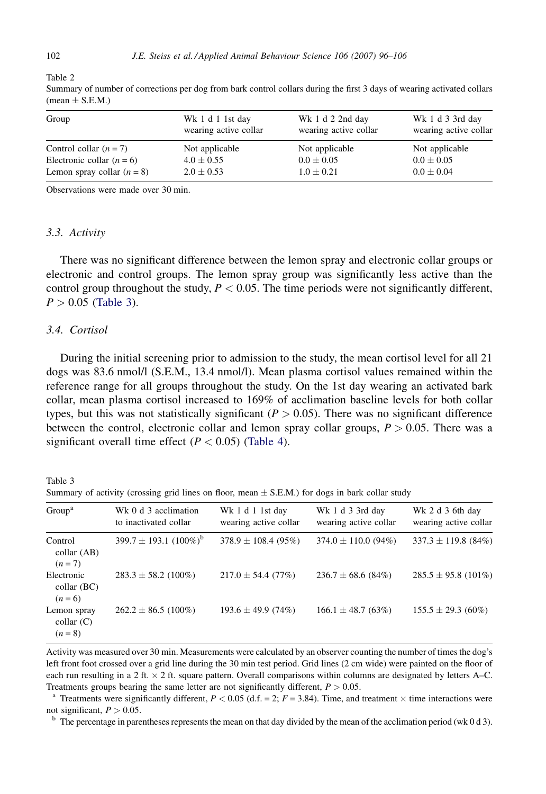<span id="page-6-0"></span>Table 2

| Group                        | Wk 1 d 1 1st day<br>wearing active collar | Wk 1 d 2 2nd day<br>wearing active collar | Wk 1 d 3 3rd day<br>wearing active collar |
|------------------------------|-------------------------------------------|-------------------------------------------|-------------------------------------------|
| Control collar $(n = 7)$     | Not applicable                            | Not applicable                            | Not applicable                            |
| Electronic collar $(n = 6)$  | $4.0 \pm 0.55$                            | $0.0 \pm 0.05$                            | $0.0 \pm 0.05$                            |
| Lemon spray collar $(n = 8)$ | $2.0 \pm 0.53$                            | $1.0 \pm 0.21$                            | $0.0 \pm 0.04$                            |

Summary of number of corrections per dog from bark control collars during the first 3 days of wearing activated collars  $(mean \pm S.E.M.)$ 

Observations were made over 30 min.

## 3.3. Activity

There was no significant difference between the lemon spray and electronic collar groups or electronic and control groups. The lemon spray group was significantly less active than the control group throughout the study,  $P < 0.05$ . The time periods were not significantly different,  $P > 0.05$  (Table 3).

# 3.4. Cortisol

During the initial screening prior to admission to the study, the mean cortisol level for all 21 dogs was 83.6 nmol/l (S.E.M., 13.4 nmol/l). Mean plasma cortisol values remained within the reference range for all groups throughout the study. On the 1st day wearing an activated bark collar, mean plasma cortisol increased to 169% of acclimation baseline levels for both collar types, but this was not statistically significant ( $P > 0.05$ ). There was no significant difference between the control, electronic collar and lemon spray collar groups,  $P > 0.05$ . There was a significant overall time effect ( $P < 0.05$ ) [\(Table 4\)](#page-7-0).

Table 3 Summary of activity (crossing grid lines on floor, mean  $\pm$  S.E.M.) for dogs in bark collar study

| Group <sup>a</sup>                                    | Wk 0 d 3 acclimation<br>to inactivated collar | Wk 1 d 1 1st day<br>wearing active collar | Wk 1 d 3 3rd day<br>wearing active collar | Wk 2 d 3 6th day<br>wearing active collar |
|-------------------------------------------------------|-----------------------------------------------|-------------------------------------------|-------------------------------------------|-------------------------------------------|
| Control<br>$\text{collar}(AB)$<br>$(n=7)$             | $399.7 \pm 193.1 (100\%)^6$                   | $378.9 \pm 108.4$ (95%)                   | $374.0 \pm 110.0$ (94%)                   | $337.3 \pm 119.8$ (84%)                   |
| Electronic<br>$\text{collar}(\text{BC})$<br>$(n = 6)$ | $283.3 \pm 58.2$ (100%)                       | $217.0 \pm 54.4$ (77%)                    | $236.7 \pm 68.6$ (84%)                    | $285.5 \pm 95.8$ (101%)                   |
| Lemon spray<br>$\text{collar}$ (C)<br>$(n = 8)$       | $262.2 \pm 86.5$ (100%)                       | $193.6 \pm 49.9(74\%)$                    | $166.1 \pm 48.7$ (63%)                    | $155.5 \pm 29.3(60\%)$                    |

Activity was measured over 30 min. Measurements were calculated by an observer counting the number of times the dog's left front foot crossed over a grid line during the 30 min test period. Grid lines (2 cm wide) were painted on the floor of each run resulting in a 2 ft.  $\times$  2 ft. square pattern. Overall comparisons within columns are designated by letters A–C. Treatments groups bearing the same letter are not significantly different,  $P > 0.05$ .

<sup>a</sup> Treatments were significantly different,  $P < 0.05$  (d.f. = 2;  $F = 3.84$ ). Time, and treatment  $\times$  time interactions were not significant,  $P > 0.05$ .<br><sup>b</sup> The percentage in parentheses represents the mean on that day divided by the mean of the acclimation period (wk 0 d 3).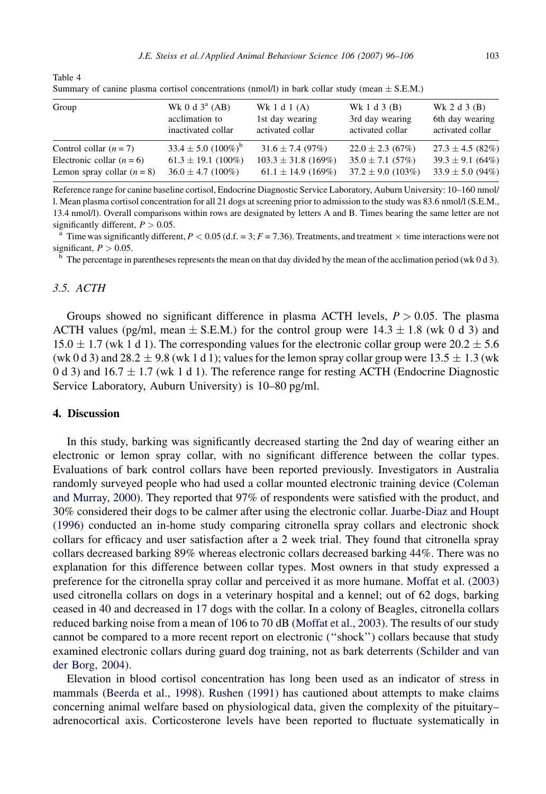<span id="page-7-0"></span>

| Table 4                                                                                            |  |
|----------------------------------------------------------------------------------------------------|--|
| Summary of canine plasma cortisol concentrations (nmol/l) in bark collar study (mean $\pm$ S.E.M.) |  |

| Group                        | Wk 0 d $3^a$ (AB)<br>acclimation to<br>inactivated collar | Wk $1 d 1 (A)$<br>1st day wearing<br>activated collar | Wk 1 d 3 $(B)$<br>3rd day wearing<br>activated collar | Wk 2 d $3$ (B)<br>6th day wearing<br>activated collar |
|------------------------------|-----------------------------------------------------------|-------------------------------------------------------|-------------------------------------------------------|-------------------------------------------------------|
| Control collar $(n = 7)$     | $33.4 \pm 5.0$ $(100\%)^b$                                | $31.6 \pm 7.4$ (97%)                                  | $22.0 \pm 2.3$ (67%)                                  | $27.3 \pm 4.5$ (82%)                                  |
| Electronic collar $(n = 6)$  | $61.3 \pm 19.1$ (100%)                                    | $103.3 \pm 31.8$ (169%)                               | $35.0 \pm 7.1$ (57%)                                  | $39.3 \pm 9.1$ (64%)                                  |
| Lemon spray collar $(n = 8)$ | $36.0 \pm 4.7$ (100%)                                     | $61.1 \pm 14.9$ (169%)                                | $37.2 \pm 9.0$ (103%)                                 | $33.9 \pm 5.0$ (94%)                                  |

Reference range for canine baseline cortisol, Endocrine Diagnostic Service Laboratory, Auburn University: 10–160 nmol/ l. Mean plasma cortisol concentration for all 21 dogs at screening prior to admission to the study was 83.6 nmol/l (S.E.M., 13.4 nmol/l). Overall comparisons within rows are designated by letters A and B. Times bearing the same letter are not significantly different,  $P > 0.05$ .<br><sup>a</sup> Time was significantly different,  $P < 0.05$  (d.f. = 3;  $F = 7.36$ ). Treatments, and treatment  $\times$  time interactions were not

significant,  $P > 0.05$ .

<sup>b</sup> The percentage in parentheses represents the mean on that day divided by the mean of the acclimation period (wk 0 d 3).

# 3.5. ACTH

Groups showed no significant difference in plasma ACTH levels,  $P > 0.05$ . The plasma ACTH values (pg/ml, mean  $\pm$  S.E.M.) for the control group were 14.3  $\pm$  1.8 (wk 0 d 3) and 15.0  $\pm$  1.7 (wk 1 d 1). The corresponding values for the electronic collar group were 20.2  $\pm$  5.6 (wk 0 d 3) and 28.2  $\pm$  9.8 (wk 1 d 1); values for the lemon spray collar group were 13.5  $\pm$  1.3 (wk) 0 d 3) and  $16.7 \pm 1.7$  (wk 1 d 1). The reference range for resting ACTH (Endocrine Diagnostic Service Laboratory, Auburn University) is 10–80 pg/ml.

# 4. Discussion

In this study, barking was significantly decreased starting the 2nd day of wearing either an electronic or lemon spray collar, with no significant difference between the collar types. Evaluations of bark control collars have been reported previously. Investigators in Australia randomly surveyed people who had used a collar mounted electronic training device ([Coleman](#page-9-0) [and Murray, 2000\)](#page-9-0). They reported that 97% of respondents were satisfied with the product, and 30% considered their dogs to be calmer after using the electronic collar. [Juarbe-Diaz and Houpt](#page-10-0) [\(1996\)](#page-10-0) conducted an in-home study comparing citronella spray collars and electronic shock collars for efficacy and user satisfaction after a 2 week trial. They found that citronella spray collars decreased barking 89% whereas electronic collars decreased barking 44%. There was no explanation for this difference between collar types. Most owners in that study expressed a preference for the citronella spray collar and perceived it as more humane. [Moffat et al. \(2003\)](#page-10-0) used citronella collars on dogs in a veterinary hospital and a kennel; out of 62 dogs, barking ceased in 40 and decreased in 17 dogs with the collar. In a colony of Beagles, citronella collars reduced barking noise from a mean of 106 to 70 dB ([Moffat et al., 2003\)](#page-10-0). The results of our study cannot be compared to a more recent report on electronic (''shock'') collars because that study examined electronic collars during guard dog training, not as bark deterrents [\(Schilder and van](#page-10-0) [der Borg, 2004](#page-10-0)).

Elevation in blood cortisol concentration has long been used as an indicator of stress in mammals [\(Beerda et al., 1998\)](#page-9-0). [Rushen \(1991\)](#page-10-0) has cautioned about attempts to make claims concerning animal welfare based on physiological data, given the complexity of the pituitary– adrenocortical axis. Corticosterone levels have been reported to fluctuate systematically in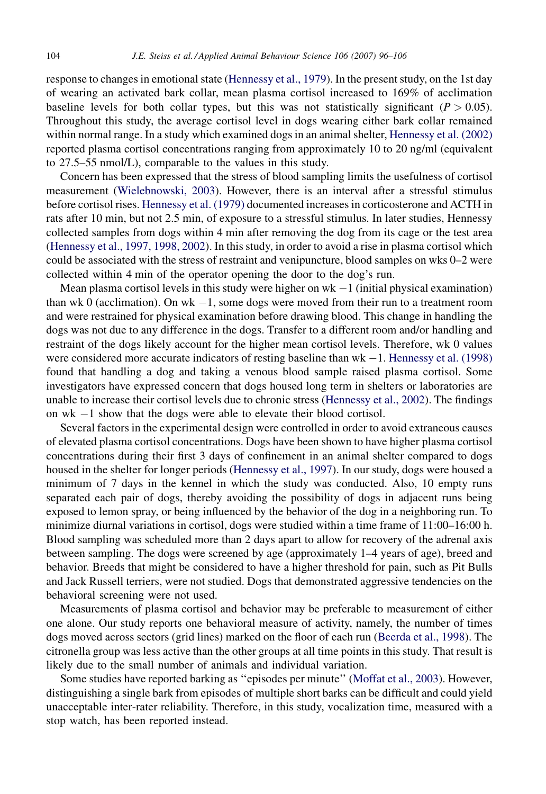response to changes in emotional state ([Hennessy et al., 1979\)](#page-10-0). In the present study, on the 1st day of wearing an activated bark collar, mean plasma cortisol increased to 169% of acclimation baseline levels for both collar types, but this was not statistically significant ( $P > 0.05$ ). Throughout this study, the average cortisol level in dogs wearing either bark collar remained within normal range. In a study which examined dogs in an animal shelter, [Hennessy et al. \(2002\)](#page-10-0) reported plasma cortisol concentrations ranging from approximately 10 to 20 ng/ml (equivalent to 27.5–55 nmol/L), comparable to the values in this study.

Concern has been expressed that the stress of blood sampling limits the usefulness of cortisol measurement ([Wielebnowski, 2003](#page-10-0)). However, there is an interval after a stressful stimulus before cortisol rises. [Hennessy et al. \(1979\)](#page-10-0) documented increases in corticosterone and ACTH in rats after 10 min, but not 2.5 min, of exposure to a stressful stimulus. In later studies, Hennessy collected samples from dogs within 4 min after removing the dog from its cage or the test area [\(Hennessy et al., 1997, 1998, 2002](#page-10-0)). In this study, in order to avoid a rise in plasma cortisol which could be associated with the stress of restraint and venipuncture, blood samples on wks 0–2 were collected within 4 min of the operator opening the door to the dog's run.

Mean plasma cortisol levels in this study were higher on  $wk-1$  (initial physical examination) than wk  $0$  (acclimation). On wk  $-1$ , some dogs were moved from their run to a treatment room and were restrained for physical examination before drawing blood. This change in handling the dogs was not due to any difference in the dogs. Transfer to a different room and/or handling and restraint of the dogs likely account for the higher mean cortisol levels. Therefore, wk 0 values were considered more accurate indicators of resting baseline than  $wk - 1$ . [Hennessy et al. \(1998\)](#page-10-0) found that handling a dog and taking a venous blood sample raised plasma cortisol. Some investigators have expressed concern that dogs housed long term in shelters or laboratories are unable to increase their cortisol levels due to chronic stress [\(Hennessy et al., 2002](#page-10-0)). The findings on wk -1 show that the dogs were able to elevate their blood cortisol.

Several factors in the experimental design were controlled in order to avoid extraneous causes of elevated plasma cortisol concentrations. Dogs have been shown to have higher plasma cortisol concentrations during their first 3 days of confinement in an animal shelter compared to dogs housed in the shelter for longer periods [\(Hennessy et al., 1997\)](#page-10-0). In our study, dogs were housed a minimum of 7 days in the kennel in which the study was conducted. Also, 10 empty runs separated each pair of dogs, thereby avoiding the possibility of dogs in adjacent runs being exposed to lemon spray, or being influenced by the behavior of the dog in a neighboring run. To minimize diurnal variations in cortisol, dogs were studied within a time frame of 11:00–16:00 h. Blood sampling was scheduled more than 2 days apart to allow for recovery of the adrenal axis between sampling. The dogs were screened by age (approximately 1–4 years of age), breed and behavior. Breeds that might be considered to have a higher threshold for pain, such as Pit Bulls and Jack Russell terriers, were not studied. Dogs that demonstrated aggressive tendencies on the behavioral screening were not used.

Measurements of plasma cortisol and behavior may be preferable to measurement of either one alone. Our study reports one behavioral measure of activity, namely, the number of times dogs moved across sectors (grid lines) marked on the floor of each run ([Beerda et al., 1998\)](#page-9-0). The citronella group was less active than the other groups at all time points in this study. That result is likely due to the small number of animals and individual variation.

Some studies have reported barking as ''episodes per minute'' ([Moffat et al., 2003](#page-10-0)). However, distinguishing a single bark from episodes of multiple short barks can be difficult and could yield unacceptable inter-rater reliability. Therefore, in this study, vocalization time, measured with a stop watch, has been reported instead.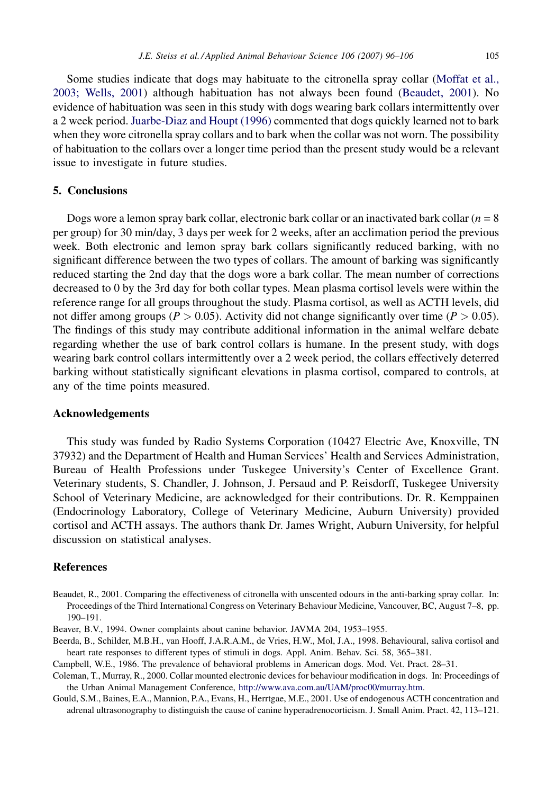<span id="page-9-0"></span>Some studies indicate that dogs may habituate to the citronella spray collar [\(Moffat et al.,](#page-10-0) [2003; Wells, 2001](#page-10-0)) although habituation has not always been found (Beaudet, 2001). No evidence of habituation was seen in this study with dogs wearing bark collars intermittently over a 2 week period. [Juarbe-Diaz and Houpt \(1996\)](#page-10-0) commented that dogs quickly learned not to bark when they wore citronella spray collars and to bark when the collar was not worn. The possibility of habituation to the collars over a longer time period than the present study would be a relevant issue to investigate in future studies.

## 5. Conclusions

Dogs wore a lemon spray bark collar, electronic bark collar or an inactivated bark collar  $(n = 8)$ per group) for 30 min/day, 3 days per week for 2 weeks, after an acclimation period the previous week. Both electronic and lemon spray bark collars significantly reduced barking, with no significant difference between the two types of collars. The amount of barking was significantly reduced starting the 2nd day that the dogs wore a bark collar. The mean number of corrections decreased to 0 by the 3rd day for both collar types. Mean plasma cortisol levels were within the reference range for all groups throughout the study. Plasma cortisol, as well as ACTH levels, did not differ among groups ( $P > 0.05$ ). Activity did not change significantly over time ( $P > 0.05$ ). The findings of this study may contribute additional information in the animal welfare debate regarding whether the use of bark control collars is humane. In the present study, with dogs wearing bark control collars intermittently over a 2 week period, the collars effectively deterred barking without statistically significant elevations in plasma cortisol, compared to controls, at any of the time points measured.

## Acknowledgements

This study was funded by Radio Systems Corporation (10427 Electric Ave, Knoxville, TN 37932) and the Department of Health and Human Services' Health and Services Administration, Bureau of Health Professions under Tuskegee University's Center of Excellence Grant. Veterinary students, S. Chandler, J. Johnson, J. Persaud and P. Reisdorff, Tuskegee University School of Veterinary Medicine, are acknowledged for their contributions. Dr. R. Kemppainen (Endocrinology Laboratory, College of Veterinary Medicine, Auburn University) provided cortisol and ACTH assays. The authors thank Dr. James Wright, Auburn University, for helpful discussion on statistical analyses.

# References

- Beaudet, R., 2001. Comparing the effectiveness of citronella with unscented odours in the anti-barking spray collar. In: Proceedings of the Third International Congress on Veterinary Behaviour Medicine, Vancouver, BC, August 7–8, pp. 190–191.
- Beaver, B.V., 1994. Owner complaints about canine behavior. JAVMA 204, 1953–1955.
- Beerda, B., Schilder, M.B.H., van Hooff, J.A.R.A.M., de Vries, H.W., Mol, J.A., 1998. Behavioural, saliva cortisol and heart rate responses to different types of stimuli in dogs. Appl. Anim. Behav. Sci. 58, 365–381.

Campbell, W.E., 1986. The prevalence of behavioral problems in American dogs. Mod. Vet. Pract. 28–31.

- Coleman, T., Murray, R., 2000. Collar mounted electronic devices for behaviour modification in dogs. In: Proceedings of the Urban Animal Management Conference, <http://www.ava.com.au/UAM/proc00/murray.htm>.
- Gould, S.M., Baines, E.A., Mannion, P.A., Evans, H., Herrtgae, M.E., 2001. Use of endogenous ACTH concentration and adrenal ultrasonography to distinguish the cause of canine hyperadrenocorticism. J. Small Anim. Pract. 42, 113–121.